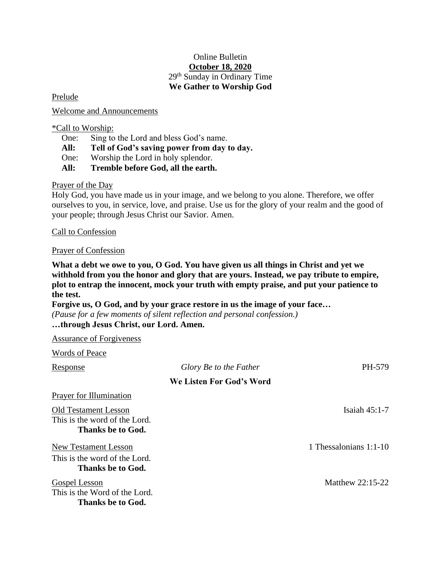## Online Bulletin **October 18, 2020** 29 th Sunday in Ordinary Time **We Gather to Worship God**

Prelude

Welcome and Announcements

\*Call to Worship:

One: Sing to the Lord and bless God's name.

**All: Tell of God's saving power from day to day.**

One: Worship the Lord in holy splendor.

**All: Tremble before God, all the earth.**

Prayer of the Day

Holy God, you have made us in your image, and we belong to you alone. Therefore, we offer ourselves to you, in service, love, and praise. Use us for the glory of your realm and the good of your people; through Jesus Christ our Savior. Amen.

## Call to Confession

## Prayer of Confession

**What a debt we owe to you, O God. You have given us all things in Christ and yet we withhold from you the honor and glory that are yours. Instead, we pay tribute to empire, plot to entrap the innocent, mock your truth with empty praise, and put your patience to the test.**

**Forgive us, O God, and by your grace restore in us the image of your face…** *(Pause for a few moments of silent reflection and personal confession.)* **…through Jesus Christ, our Lord. Amen.**

Assurance of Forgiveness

Words of Peace Response *Glory Be to the Father* PH-579 **We Listen For God's Word** Prayer for Illumination Old Testament Lesson Isaiah 45:1-7 This is the word of the Lord. **Thanks be to God.** New Testament Lesson 1 Thessalonians 1:1-10 This is the word of the Lord. **Thanks be to God.** Gospel Lesson Matthew 22:15-22 This is the Word of the Lord. **Thanks be to God.**